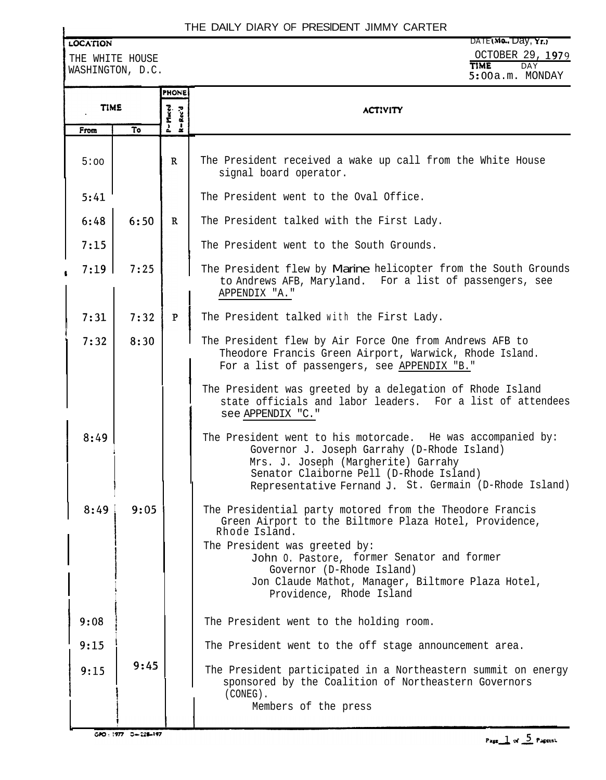## THE DAILY DIARY OF PRESlDENT JIMMY CARTER

| <b>LOCATION</b> |  |  |
|-----------------|--|--|
|                 |  |  |
|                 |  |  |

**<sup>I</sup>** THE WHITE HOUSE WASHINGTON, D.C.

DATE (Mo., Day, Yr.) OCTOBER 29, 1979 **TIME** DAY<br>**5:00**a.m. MONDAY

|                                 |                         | PHONE                  |                                                                                                                                                                                                                                                                                                                                  |
|---------------------------------|-------------------------|------------------------|----------------------------------------------------------------------------------------------------------------------------------------------------------------------------------------------------------------------------------------------------------------------------------------------------------------------------------|
| <b>TIME</b>                     |                         |                        | <b>ACTIVITY</b>                                                                                                                                                                                                                                                                                                                  |
| $\overline{\mathbf{r}}$<br>From |                         | P=Maced<br>$R = Rec'd$ |                                                                                                                                                                                                                                                                                                                                  |
|                                 |                         |                        |                                                                                                                                                                                                                                                                                                                                  |
| 5:00                            |                         | R                      | The President received a wake up call from the White House<br>signal board operator.                                                                                                                                                                                                                                             |
| 5:41                            |                         |                        | The President went to the Oval Office.                                                                                                                                                                                                                                                                                           |
| 6:48                            | 6:50                    | $\mathbf R$            | The President talked with the First Lady.                                                                                                                                                                                                                                                                                        |
| 7:15                            |                         |                        | The President went to the South Grounds.                                                                                                                                                                                                                                                                                         |
| 7:19                            | 7:25                    |                        | The President flew by Marine helicopter from the South Grounds<br>to Andrews AFB, Maryland. For a list of passengers, see<br>APPENDIX "A."                                                                                                                                                                                       |
| 7:31                            | 7:32                    | $\mathbf{P}$           | The President talked with the First Lady.                                                                                                                                                                                                                                                                                        |
| 7:32                            | 8:30                    |                        | The President flew by Air Force One from Andrews AFB to<br>Theodore Francis Green Airport, Warwick, Rhode Island.<br>For a list of passengers, see APPENDIX "B."                                                                                                                                                                 |
|                                 |                         |                        | The President was greeted by a delegation of Rhode Island<br>state officials and labor leaders. For a list of attendees<br>see APPENDIX "C."                                                                                                                                                                                     |
| 8:49                            |                         |                        | The President went to his motorcade. He was accompanied by:<br>Governor J. Joseph Garrahy (D-Rhode Island)<br>Mrs. J. Joseph (Margherite) Garrahy<br>Senator Claiborne Pell (D-Rhode Island)<br>Representative Fernand J. St. Germain (D-Rhode Island)                                                                           |
| 8:49                            | 9:05                    |                        | The Presidential party motored from the Theodore Francis<br>Green Airport to the Biltmore Plaza Hotel, Providence,<br>Rhode Island.<br>The President was greeted by:<br>John 0. Pastore, former Senator and former<br>Governor (D-Rhode Island)<br>Jon Claude Mathot, Manager, Biltmore Plaza Hotel,<br>Providence, Rhode Island |
| 9:08                            |                         |                        | The President went to the holding room.                                                                                                                                                                                                                                                                                          |
| 9:15                            |                         |                        | The President went to the off stage announcement area.                                                                                                                                                                                                                                                                           |
| 9:15                            | 9:45                    |                        | The President participated in a Northeastern summit on energy<br>sponsored by the Coalition of Northeastern Governors<br>$(CONEG)$ .<br>Members of the press                                                                                                                                                                     |
|                                 |                         |                        |                                                                                                                                                                                                                                                                                                                                  |
|                                 | $0.80111977 - 0.002197$ |                        |                                                                                                                                                                                                                                                                                                                                  |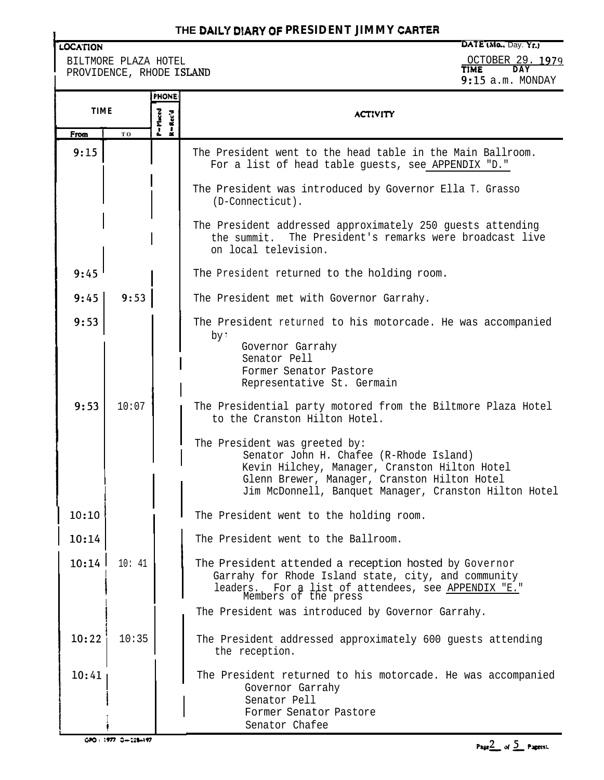## **THE** DAllm'f DlARY OF **PRESIDENT JIMMY CARTES**

**COCATION** DATE MO., Day. Yr., BILTMORE PLAZA HOTEL SERVICE OCTOBER 29. 1979.<br>PROVIDENCE RHODE ISLAND PROVIDENCE, RHODE ISLAND

9:15 a.m. MONDAY

|             |                 | <b>PHONE</b>                  |                                                                                                                                                                                                   |
|-------------|-----------------|-------------------------------|---------------------------------------------------------------------------------------------------------------------------------------------------------------------------------------------------|
| <b>TIME</b> |                 | $P = P1$ iaced<br>$R = Rec'd$ | <b>ACTIVITY</b>                                                                                                                                                                                   |
| From        | TO <sub>1</sub> |                               |                                                                                                                                                                                                   |
| 9:15        |                 |                               | The President went to the head table in the Main Ballroom.<br>For a list of head table guests, see APPENDIX "D."                                                                                  |
|             |                 |                               | The President was introduced by Governor Ella T. Grasso<br>(D-Connecticut).                                                                                                                       |
|             |                 |                               | The President addressed approximately 250 guests attending<br>the summit. The President's remarks were broadcast live<br>on local television.                                                     |
| 9:45        |                 |                               | The President returned to the holding room.                                                                                                                                                       |
| 9:45        | 9:53            |                               | The President met with Governor Garrahy.                                                                                                                                                          |
| 9:53        |                 |                               | The President returned to his motorcade. He was accompanied<br>by:<br>Governor Garrahy<br>Senator Pell<br>Former Senator Pastore<br>Representative St. Germain                                    |
| 9:53        | 10:07           |                               | The Presidential party motored from the Biltmore Plaza Hotel<br>to the Cranston Hilton Hotel.<br>The President was greeted by:                                                                    |
|             |                 |                               | Senator John H. Chafee (R-Rhode Island)<br>Kevin Hilchey, Manager, Cranston Hilton Hotel<br>Glenn Brewer, Manager, Cranston Hilton Hotel<br>Jim McDonnell, Banquet Manager, Cranston Hilton Hotel |
| 10:10       |                 |                               | The President went to the holding room.                                                                                                                                                           |
| 10:14       |                 |                               | The President went to the Ballroom.                                                                                                                                                               |
| 10:14       | 10:41           |                               | The President attended a reception hosted by Governor<br>Garrahy for Rhode Island state, city, and community<br>leaders. For a list of attendees, see APPENDIX "E."<br>Members of the press       |
|             |                 |                               | The President was introduced by Governor Garrahy.                                                                                                                                                 |
| 10:22       | 10:35           |                               | The President addressed approximately 600 guests attending<br>the reception.                                                                                                                      |
| 10:41       |                 |                               | The President returned to his motorcade. He was accompanied<br>Governor Garrahy<br>Senator Pell<br>Former Senator Pastore<br>Senator Chafee                                                       |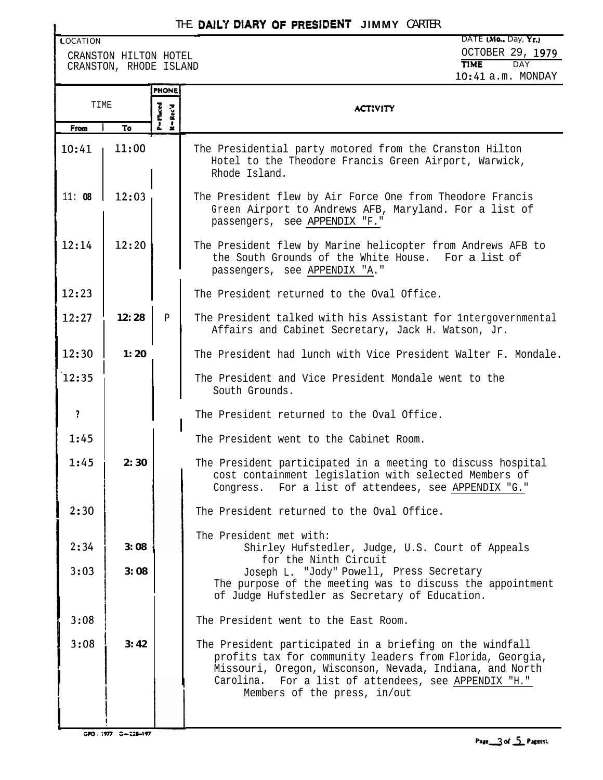## *THE. DAlL'f* **DIARY OF PRESIDEhi?@ JIMMY** *CARTER*

| <b>LOCATION</b> |                                                                                                                         |              | THE. DAILY DIARY OF PRESIDENT JIMMY CARTER                                                                                                                                                                                                                                 | DATE (Mo., Day, Yr.) |  |
|-----------------|-------------------------------------------------------------------------------------------------------------------------|--------------|----------------------------------------------------------------------------------------------------------------------------------------------------------------------------------------------------------------------------------------------------------------------------|----------------------|--|
|                 | OCTOBER 29, 1979<br>CRANSTON HILTON HOTEL<br><b>TIME</b><br><b>DAY</b><br>CRANSTON, RHODE ISLAND<br>$10:41$ a.m. MONDAY |              |                                                                                                                                                                                                                                                                            |                      |  |
| From            | PHONE<br>TIME<br>P=Placed<br>K=Rec'd<br>To                                                                              |              | <b>ACTIVITY</b>                                                                                                                                                                                                                                                            |                      |  |
| 10:41           | 11:00                                                                                                                   |              | The Presidential party motored from the Cranston Hilton<br>Hotel to the Theodore Francis Green Airport, Warwick,<br>Rhode Island.                                                                                                                                          |                      |  |
| 11:08           | 12:03                                                                                                                   |              | The President flew by Air Force One from Theodore Francis<br>Green Airport to Andrews AFB, Maryland. For a list of<br>passengers, see APPENDIX "F."                                                                                                                        |                      |  |
| 12:14           | 12:20                                                                                                                   |              | The President flew by Marine helicopter from Andrews AFB to<br>the South Grounds of the White House. For a list of<br>passengers, see APPENDIX "A."                                                                                                                        |                      |  |
| 12:23           |                                                                                                                         |              | The President returned to the Oval Office.                                                                                                                                                                                                                                 |                      |  |
| 12:27           | 12:28                                                                                                                   | $\mathbf{P}$ | The President talked with his Assistant for Intergovernmental<br>Affairs and Cabinet Secretary, Jack H. Watson, Jr.                                                                                                                                                        |                      |  |
| 12:30           | 1:20                                                                                                                    |              | The President had lunch with Vice President Walter F. Mondale.                                                                                                                                                                                                             |                      |  |
| 12:35           |                                                                                                                         |              | The President and Vice President Mondale went to the<br>South Grounds.                                                                                                                                                                                                     |                      |  |
| $\ddot{\cdot}$  |                                                                                                                         |              | The President returned to the Oval Office.                                                                                                                                                                                                                                 |                      |  |
| 1:45            |                                                                                                                         |              | The President went to the Cabinet Room.                                                                                                                                                                                                                                    |                      |  |
| 1:45            | 2:30                                                                                                                    |              | The President participated in a meeting to discuss hospital<br>cost containment legislation with selected Members of<br>Congress. For a list of attendees, see APPENDIX "G."                                                                                               |                      |  |
| 2:30            |                                                                                                                         |              | The President returned to the Oval Office.                                                                                                                                                                                                                                 |                      |  |
| 2:34            | 3:08                                                                                                                    |              | The President met with:<br>Shirley Hufstedler, Judge, U.S. Court of Appeals<br>for the Ninth Circuit                                                                                                                                                                       |                      |  |
| 3:03            | 3:08                                                                                                                    |              | Joseph L. "Jody" Powell, Press Secretary<br>The purpose of the meeting was to discuss the appointment<br>of Judge Hufstedler as Secretary of Education.                                                                                                                    |                      |  |
| 3:08            |                                                                                                                         |              | The President went to the East Room.                                                                                                                                                                                                                                       |                      |  |
| 3:08            | 3:42                                                                                                                    |              | The President participated in a briefing on the windfall<br>profits tax for community leaders from Florida, Georgia,<br>Missouri, Oregon, Wisconson, Nevada, Indiana, and North<br>For a list of attendees, see APPENDIX "H."<br>Carolina.<br>Members of the press, in/out |                      |  |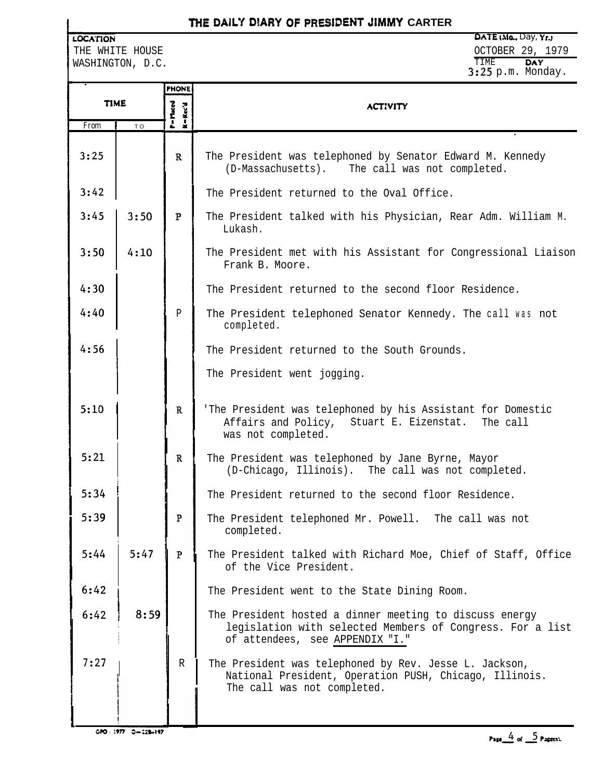## **THE DAILY D!ARY OF PRESIDEbiT 3IMMY CARTER**

LOCATION

THE WHITE HOUSE WASHINGTON, D.C.

| DATE (Mo., Day, Yr.) |     |  |
|----------------------|-----|--|
| OCTOBER 29, 1979     |     |  |
| TTMF.                | DAY |  |
| $3:25$ p.m. Monday.  |     |  |

|             |      | PHONE                  |                                                                                                                                                         |  |  |
|-------------|------|------------------------|---------------------------------------------------------------------------------------------------------------------------------------------------------|--|--|
| <b>TIME</b> |      |                        | <b>ACTIVITY</b>                                                                                                                                         |  |  |
| From        | TO   | P=Muced<br>$R = Rcc'd$ |                                                                                                                                                         |  |  |
| 3:25        |      | $\mathbf R$            | The President was telephoned by Senator Edward M. Kennedy<br>(D-Massachusetts). The call was not completed.                                             |  |  |
| 3:42        |      |                        | The President returned to the Oval Office.                                                                                                              |  |  |
| 3:45        | 3:50 | $\mathbf{P}$           | The President talked with his Physician, Rear Adm. William M.<br>Lukash.                                                                                |  |  |
| 3:50        | 4:10 |                        | The President met with his Assistant for Congressional Liaison<br>Frank B. Moore.                                                                       |  |  |
| 4:30        |      |                        | The President returned to the second floor Residence.                                                                                                   |  |  |
| 4:40        |      | P                      | The President telephoned Senator Kennedy. The call was not<br>completed.                                                                                |  |  |
| 4:56        |      |                        | The President returned to the South Grounds.                                                                                                            |  |  |
|             |      |                        | The President went jogging.                                                                                                                             |  |  |
| 5:10        |      | $\mathbf R$            | 'The President was telephoned by his Assistant for Domestic<br>Affairs and Policy, Stuart E. Eizenstat. The call<br>was not completed.                  |  |  |
| 5:21        |      | $\mathbf R$            | The President was telephoned by Jane Byrne, Mayor<br>(D-Chicago, Illinois). The call was not completed.                                                 |  |  |
| 5:34        |      |                        | The President returned to the second floor Residence.                                                                                                   |  |  |
| 5:39        |      | P                      | The President telephoned Mr. Powell. The call was not<br>completed.                                                                                     |  |  |
| 5:44        | 5:47 | $\overline{P}$         | The President talked with Richard Moe, Chief of Staff, Office<br>of the Vice President.                                                                 |  |  |
| 6:42        |      |                        | The President went to the State Dining Room.                                                                                                            |  |  |
| 6:42        | 8:59 |                        | The President hosted a dinner meeting to discuss energy<br>legislation with selected Members of Congress. For a list<br>of attendees, see APPENDIX "I." |  |  |
| 7:27<br>R   |      |                        | The President was telephoned by Rev. Jesse L. Jackson,<br>National President, Operation PUSH, Chicago, Illinois.<br>The call was not completed.         |  |  |
|             |      |                        |                                                                                                                                                         |  |  |

 $\frac{1}{670 \cdot 197}$